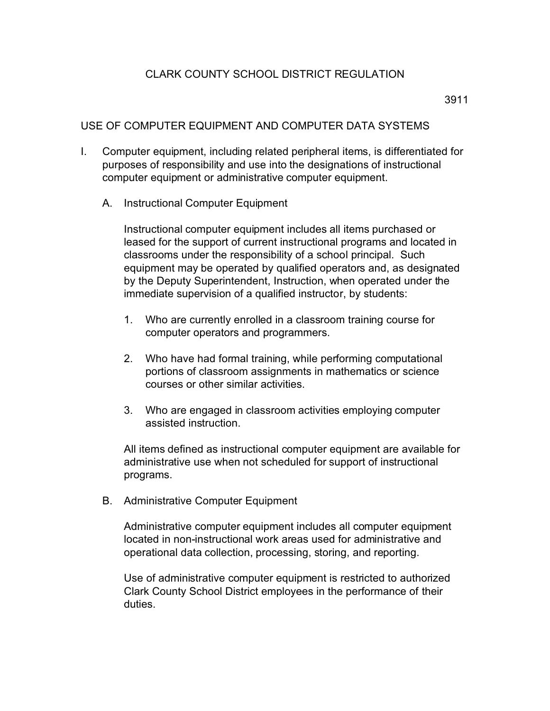## CLARK COUNTY SCHOOL DISTRICT REGULATION

3911

## USE OF COMPUTER EQUIPMENT AND COMPUTER DATA SYSTEMS

- I. Computer equipment, including related peripheral items, is differentiated for purposes of responsibility and use into the designations of instructional computer equipment or administrative computer equipment.
	- A. Instructional Computer Equipment

Instructional computer equipment includes all items purchased or leased for the support of current instructional programs and located in classrooms under the responsibility of a school principal. Such equipment may be operated by qualified operators and, as designated by the Deputy Superintendent, Instruction, when operated under the immediate supervision of a qualified instructor, by students:

- 1. Who are currently enrolled in a classroom training course for computer operators and programmers.
- 2. Who have had formal training, while performing computational portions of classroom assignments in mathematics or science courses or other similar activities.
- 3. Who are engaged in classroom activities employing computer assisted instruction.

All items defined as instructional computer equipment are available for administrative use when not scheduled for support of instructional programs.

B. Administrative Computer Equipment

Administrative computer equipment includes all computer equipment located in non-instructional work areas used for administrative and operational data collection, processing, storing, and reporting.

Use of administrative computer equipment is restricted to authorized Clark County School District employees in the performance of their duties.